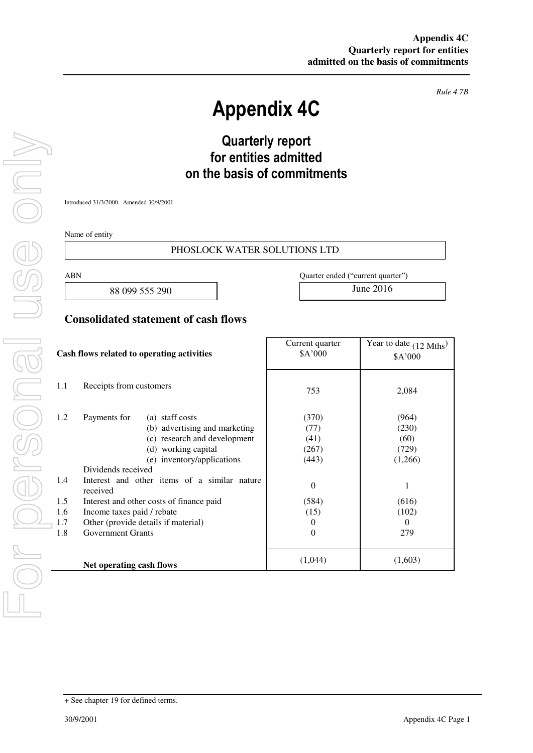*Rule 4.7B* 

# **Appendix 4C**

## **Quarterly report for entities admitted on the basis of commitments**

Introduced 31/3/2000. Amended 30/9/2001

Name of entity

#### PHOSLOCK WATER SOLUTIONS LTD

88 099 555 290 June 2016

ABN Quarter ended ("current quarter")

I

### **Consolidated statement of cash flows**

| Cash flows related to operating activities |                                                                                                                                                                                                                             | Current quarter<br>\$A'000                              | Year to date $(12 \text{ Mths})$<br>\$A'000 |
|--------------------------------------------|-----------------------------------------------------------------------------------------------------------------------------------------------------------------------------------------------------------------------------|---------------------------------------------------------|---------------------------------------------|
| 1.1                                        | Receipts from customers                                                                                                                                                                                                     | 753                                                     | 2,084                                       |
| 1.2<br>1.4                                 | Payments for<br>(a) staff costs<br>(b) advertising and marketing<br>(c) research and development<br>(d) working capital<br>(e) inventory/applications<br>Dividends received<br>Interest and other items of a similar nature | (370)<br>(77)<br>(41)<br>(267)<br>(443)                 | (964)<br>(230)<br>(60)<br>(729)<br>(1,266)  |
| 1.5<br>1.6<br>1.7<br>1.8                   | received<br>Interest and other costs of finance paid<br>Income taxes paid / rebate<br>Other (provide details if material)<br><b>Government Grants</b>                                                                       | $\theta$<br>(584)<br>(15)<br>$\theta$<br>$\overline{0}$ | 1<br>(616)<br>(102)<br>$\theta$<br>279      |
|                                            | Net operating cash flows                                                                                                                                                                                                    | (1,044)                                                 | (1,603)                                     |

<sup>+</sup> See chapter 19 for defined terms.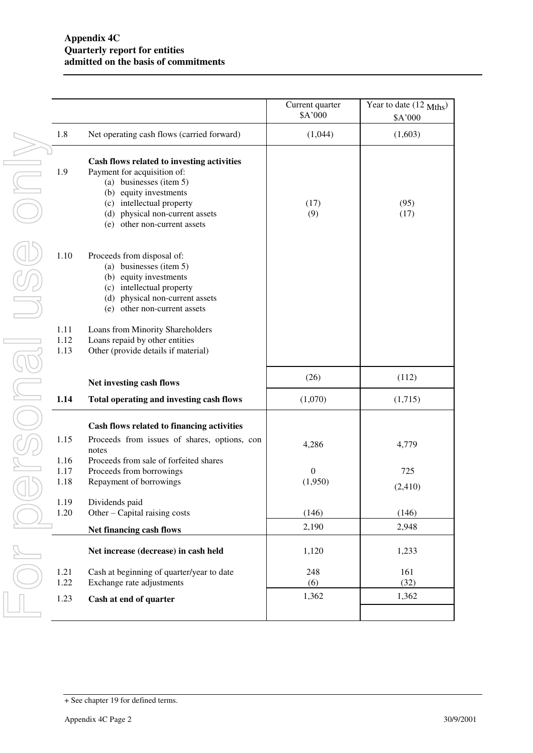|                      |                                                                                                                                                                                                                                      | Current quarter<br>\$A'000 | Year to date (12 Mths)<br>\$A'000 |
|----------------------|--------------------------------------------------------------------------------------------------------------------------------------------------------------------------------------------------------------------------------------|----------------------------|-----------------------------------|
| 1.8                  | Net operating cash flows (carried forward)                                                                                                                                                                                           | (1,044)                    | (1,603)                           |
| 1.9                  | Cash flows related to investing activities<br>Payment for acquisition of:<br>(a) businesses (item 5)<br>(b) equity investments<br>(c) intellectual property<br>physical non-current assets<br>(d)<br>other non-current assets<br>(e) | (17)<br>(9)                | (95)<br>(17)                      |
| 1.10                 | Proceeds from disposal of:<br>(a) businesses (item 5)<br>(b) equity investments<br>(c) intellectual property<br>(d) physical non-current assets<br>other non-current assets<br>(e)                                                   |                            |                                   |
| 1.11<br>1.12<br>1.13 | Loans from Minority Shareholders<br>Loans repaid by other entities<br>Other (provide details if material)                                                                                                                            |                            |                                   |
|                      | Net investing cash flows                                                                                                                                                                                                             | (26)                       | (112)                             |
| 1.14                 | Total operating and investing cash flows                                                                                                                                                                                             | (1,070)                    | (1,715)                           |
| 1.15                 | Cash flows related to financing activities<br>Proceeds from issues of shares, options, con                                                                                                                                           |                            |                                   |
| 1.16                 | notes<br>Proceeds from sale of forfeited shares                                                                                                                                                                                      | 4,286                      | 4,779                             |
| 1.17<br>1.18         | Proceeds from borrowings<br>Repayment of borrowings                                                                                                                                                                                  | $\theta$<br>(1,950)        | 725<br>(2, 410)                   |
| 1.19<br>1.20         | Dividends paid<br>Other – Capital raising costs                                                                                                                                                                                      | (146)                      | (146)                             |
|                      | Net financing cash flows                                                                                                                                                                                                             | 2,190                      | 2,948                             |
|                      | Net increase (decrease) in cash held                                                                                                                                                                                                 | 1,120                      | 1,233                             |
| 1.21                 | Cash at beginning of quarter/year to date                                                                                                                                                                                            | 248                        | 161                               |
| 1.22<br>1.23         | Exchange rate adjustments<br>Cash at end of quarter                                                                                                                                                                                  | (6)<br>1,362               | (32)<br>1,362                     |
|                      |                                                                                                                                                                                                                                      |                            |                                   |

<sup>+</sup> See chapter 19 for defined terms.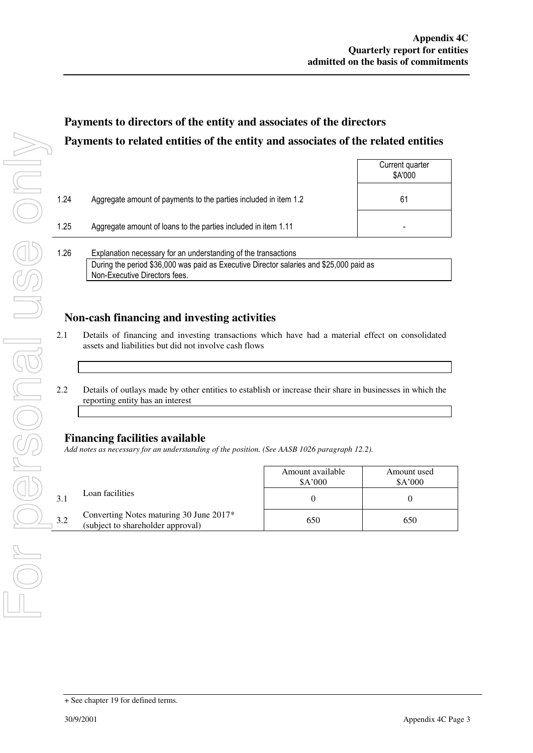Current quarter

### **Payments to directors of the entity and associates of the directors Payments to related entities of the entity and associates of the related entities**

|      |                                                                  | \$A'000 |
|------|------------------------------------------------------------------|---------|
| 1.24 | Aggregate amount of payments to the parties included in item 1.2 | 61      |
| 1.25 | Aggregate amount of loans to the parties included in item 1.11   |         |
| 1.26 | Explanation necessary for an understanding of the transactions   |         |

During the period \$36,000 was paid as Executive Director salaries and \$25,000 paid as Non-Executive Directors fees.

### **Non-cash financing and investing activities**

- 2.1 Details of financing and investing transactions which have had a material effect on consolidated assets and liabilities but did not involve cash flows
- 2.2 Details of outlays made by other entities to establish or increase their share in businesses in which the reporting entity has an interest

### **Financing facilities available**

*Add notes as necessary for an understanding of the position. (See AASB 1026 paragraph 12.2).* 

|     |                                                                              | Amount available<br>A'000 | Amount used<br>A'000 |
|-----|------------------------------------------------------------------------------|---------------------------|----------------------|
|     | Loan facilities                                                              |                           |                      |
| 3.2 | Converting Notes maturing 30 June 2017*<br>(subject to shareholder approval) | 650                       | 650                  |

<sup>+</sup> See chapter 19 for defined terms.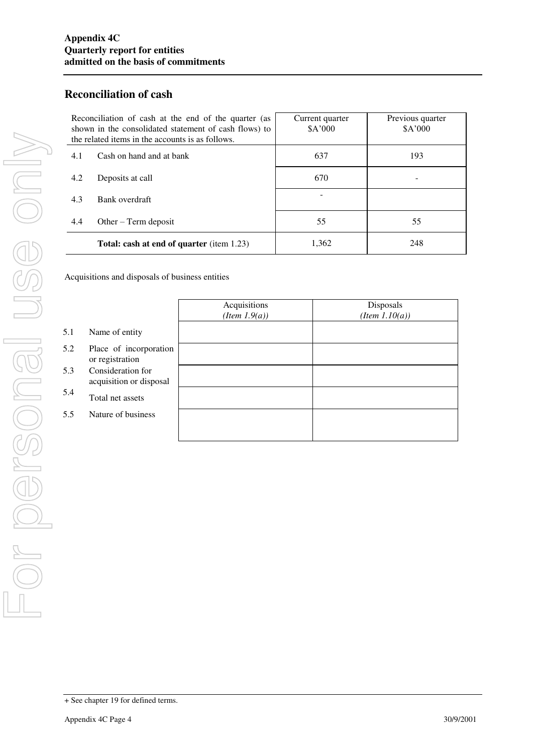### **Reconciliation of cash**

| Reconciliation of cash at the end of the quarter (as<br>shown in the consolidated statement of cash flows) to<br>the related items in the accounts is as follows. | Current quarter<br>A'000 | Previous quarter<br>A'000 |
|-------------------------------------------------------------------------------------------------------------------------------------------------------------------|--------------------------|---------------------------|
| Cash on hand and at bank<br>4.1                                                                                                                                   | 637                      | 193                       |
| Deposits at call<br>4.2                                                                                                                                           | 670                      |                           |
| Bank overdraft<br>4.3                                                                                                                                             |                          |                           |
| 4.4<br>Other $-$ Term deposit                                                                                                                                     | 55                       | 55                        |
| Total: cash at end of quarter (item 1.23)                                                                                                                         | 1,362                    | 248                       |

Acquisitions and disposals of business entities

|     |                                              | Acquisitions<br>$(Item\ 1.9(a))$ | Disposals<br>$(Item\ 1.10(a))$ |
|-----|----------------------------------------------|----------------------------------|--------------------------------|
| 5.1 | Name of entity                               |                                  |                                |
| 5.2 | Place of incorporation<br>or registration    |                                  |                                |
| 5.3 | Consideration for<br>acquisition or disposal |                                  |                                |
| 5.4 | Total net assets                             |                                  |                                |
| 5.5 | Nature of business                           |                                  |                                |
|     |                                              |                                  |                                |

<sup>+</sup> See chapter 19 for defined terms.